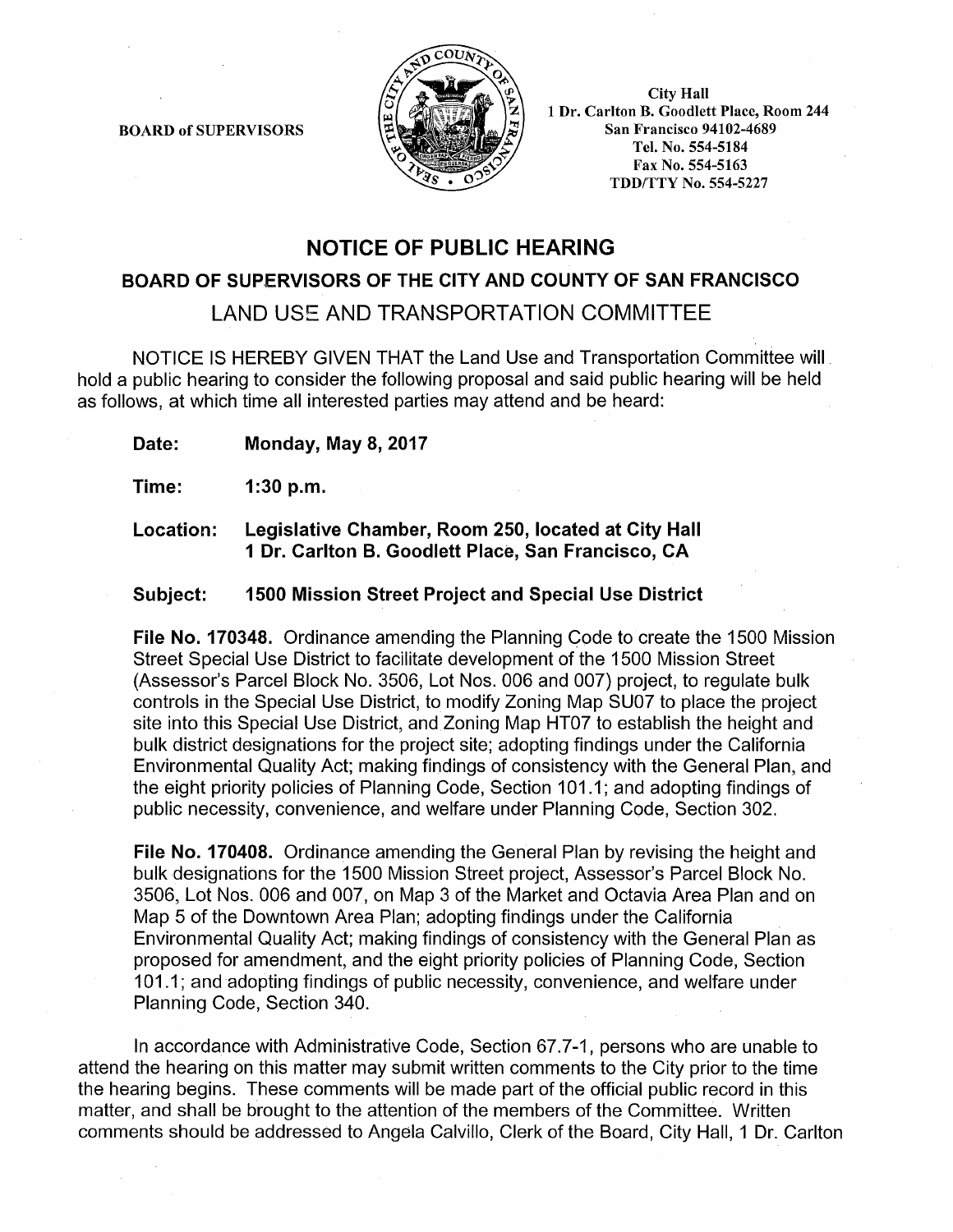**BOARD of SUPERVISORS** 



**City Hall** 1 Dr. Carlton B. Goodlett Place, Room 244 **San Francisco 94102-4689** Tel. No. 554-5184 Fax No. 554-5163 **TDD/TTY No. 554-5227** 

# **NOTICE OF PUBLIC HEARING**

### BOARD OF SUPERVISORS OF THE CITY AND COUNTY OF SAN FRANCISCO

LAND USE AND TRANSPORTATION COMMITTEE

NOTICE IS HEREBY GIVEN THAT the Land Use and Transportation Committee will hold a public hearing to consider the following proposal and said public hearing will be held as follows, at which time all interested parties may attend and be heard:

**Monday, May 8, 2017** Date:

Time:  $1:30 p.m.$ 

Legislative Chamber, Room 250, located at City Hall Location: 1 Dr. Carlton B. Goodlett Place, San Francisco, CA

#### 1500 Mission Street Project and Special Use District Subject:

File No. 170348. Ordinance amending the Planning Code to create the 1500 Mission Street Special Use District to facilitate development of the 1500 Mission Street (Assessor's Parcel Block No. 3506, Lot Nos. 006 and 007) project, to regulate bulk controls in the Special Use District, to modify Zoning Map SU07 to place the project site into this Special Use District, and Zoning Map HT07 to establish the height and bulk district designations for the project site; adopting findings under the California Environmental Quality Act; making findings of consistency with the General Plan, and the eight priority policies of Planning Code, Section 101.1; and adopting findings of public necessity, convenience, and welfare under Planning Code, Section 302.

File No. 170408. Ordinance amending the General Plan by revising the height and bulk designations for the 1500 Mission Street project, Assessor's Parcel Block No. 3506, Lot Nos. 006 and 007, on Map 3 of the Market and Octavia Area Plan and on Map 5 of the Downtown Area Plan; adopting findings under the California Environmental Quality Act; making findings of consistency with the General Plan as proposed for amendment, and the eight priority policies of Planning Code, Section 101.1; and adopting findings of public necessity, convenience, and welfare under Planning Code, Section 340.

In accordance with Administrative Code, Section 67.7-1, persons who are unable to attend the hearing on this matter may submit written comments to the City prior to the time the hearing begins. These comments will be made part of the official public record in this matter, and shall be brought to the attention of the members of the Committee. Written comments should be addressed to Angela Calvillo, Clerk of the Board, City Hall, 1 Dr. Carlton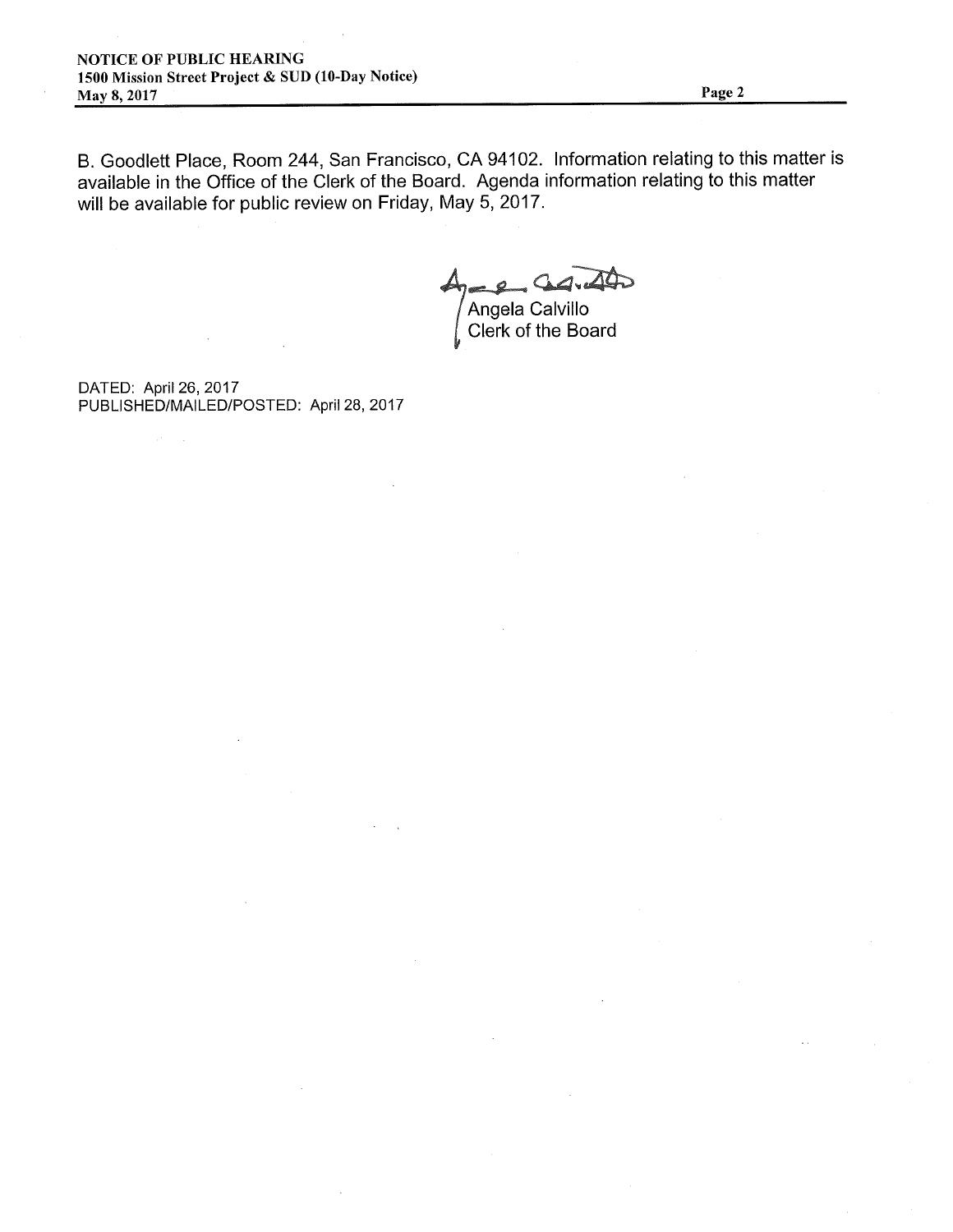B. Goodlett Place, Room 244, San Francisco, CA 94102. Information relating to this matter is available in the Office of the Clerk of the Board. Agenda information relating to this matter will be available for public review on Friday, May 5, 2017.

Angela Calvillo<br>Clerk of the Board

DATED: April 26, 2017 PUBLISHED/MAILED/POSTED: April 28, 2017

 $\mathcal{A}^{\text{c}}$  ,  $\mathcal{A}$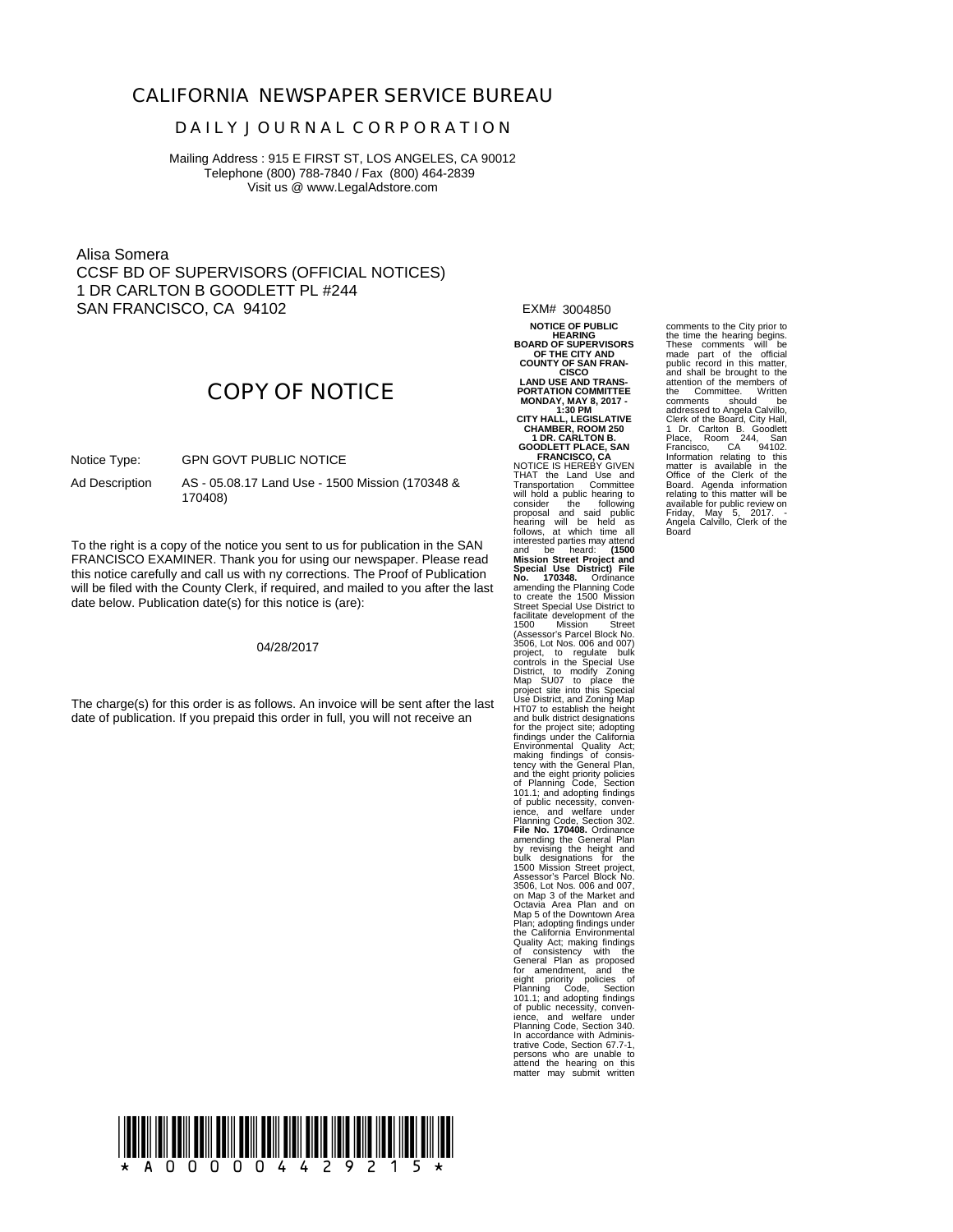### **CALIFORNIA NEWSPAPER SERVICE BUREAU**

#### **D A I L Y J O U R N A L C O R P O R A T I O N**

Mailing Address : 915 E FIRST ST, LOS ANGELES, CA 90012 Telephone (800) 788-7840 / Fax (800) 464-2839 Visit us @ www.LegalAdstore.com

Alisa Somera CCSF BD OF SUPERVISORS (OFFICIAL NOTICES) 1 DR CARLTON B GOODLETT PL #244 SAN FRANCISCO, CA 94102

EXM# 3004850 **NOTICE OF PUBLIC HEARING**

**BOARD OF SUPERVISORS OF THE CITY AND COUNTY OF SAN FRAN-CISCO**

# **COPY OF NOTICE**

 GPN GOVT PUBLIC NOTICE Notice Type:

AS - US.<br>170408) AS - 05.08.17 Land Use - 1500 Mission (170348 & Ad Description

FRANCISCO EXAMINER. Thank you for using our newspaper. Please read<br>this potice carefully and call us with ay corrections. The Preef of Publication To the right is a copy of the notice you sent to us for publication in the SAN this notice carefully and call us with ny corrections. The Proof of Publication will be filed with the County Clerk, if required, and mailed to you after the last date below. Publication date(s) for this notice is (are):

04/28/2017

The charge(s) for this order is as follows. An invoice will be sent after the last date of publication. If you prepaid this order in full, you will not receive an

LAND USE AND TRANS-<br>PORTATION COMMITTEE<br>MONDAY, MAY 8, 2017 -<br>CITY HALL, LEGISLATIVE<br>CHAMBER, ROOM 250<br>CODLETT PLACE, SAN<br>GOODLETT PLACE, SAN<br>NOTICE IS HEREBY GIVEN THAT the Land Use and Transportation Committee will hold a public hearing to consider the following proposal and said public hearing will be held as follows, at which time all interested parties may attend and be heard: **(1500 Mission Street Project and Special Use District) File No. 170348.** Ordinance amending the Planning Code to create the 1500 Mission Street Special Use District to<br>facilitate development of the<br>1500 Mission Street<br>(Assessor's Parcel Block No.<br>3506, Lot Nos. 006 and 007)<br>project, to regulate bulk<br>controls in the Special Use District, to modify Zoning Zoning Tomation<br>Map SU07 to place the<br>project site into this Special<br>Use District, and Zoning Map Map<br>HT07 to establish the height<br>and bulk district designations<br>for the project site: adopting<br>fi Quality Act; making findings<br>of consistency with the<br>General Plan as proposed<br>of comendment, and the<br>eight priority policies of<br>Planning Code, Section<br>101.1; and adopting findings<br>of public necessity, conven-<br>Planning Code persons who are unable to attend the hearing on this matter may submit written

comments to the City prior to the time the hearing begins.<br>These comments will be<br>public record in this matter,<br>and shall be brought to the<br>attention of the members of<br>the Committee. Written comments should be addressed to Angela Calvillo, Clerk of the Board, City Hall, 1 Dr. Carlton B. Goodlett Place, Room 244, San Francisco, CA 94102. Information relating to this matter is available in the Office of the Clerk of the Board. Agenda information relating to this matter will be available for public review on Friday, May 5, 2017. - Angela Calvillo, Clerk of the Board

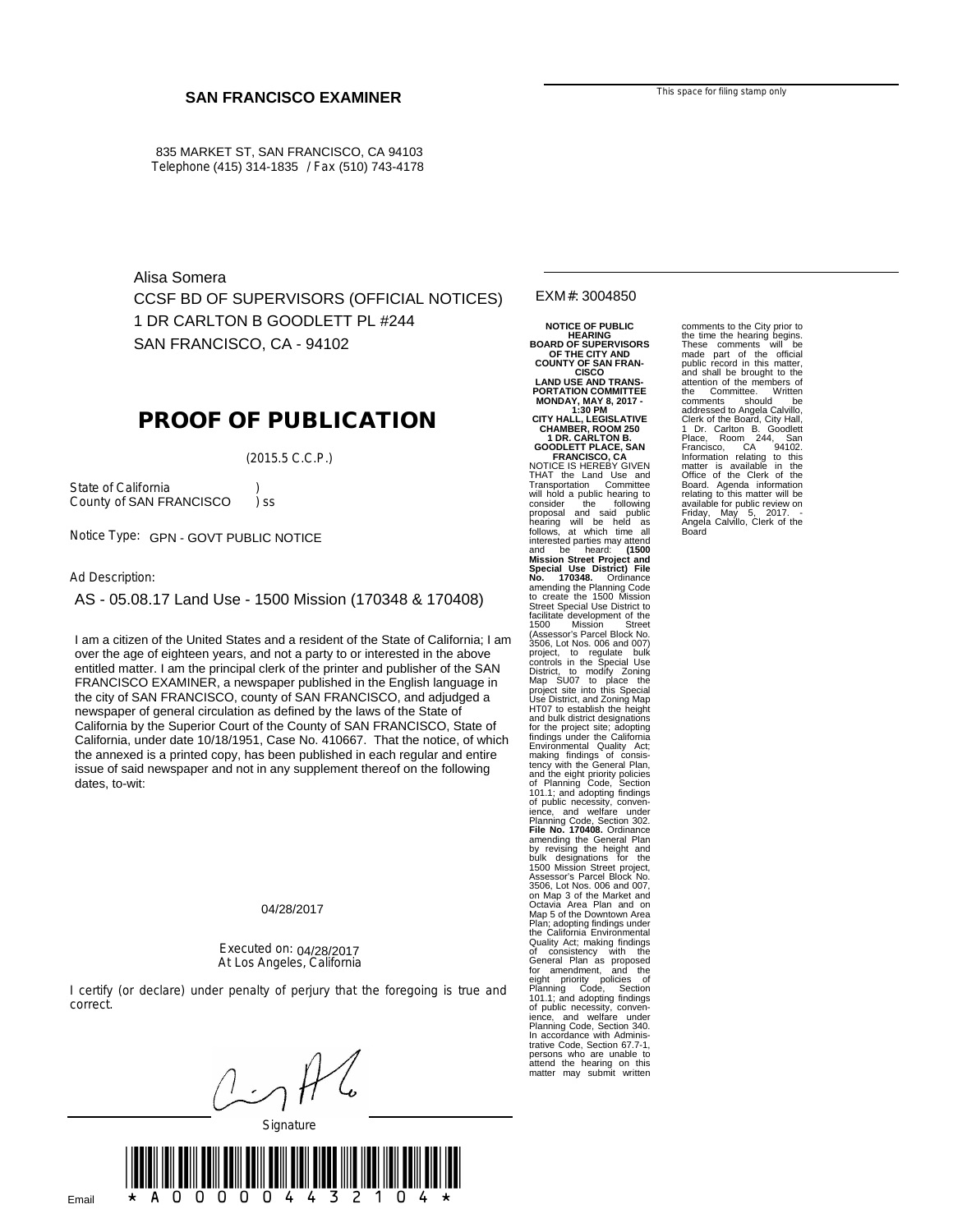835 MARKET ST, SAN FRANCISCO, CA 94103 Telephone (415) 314-1835 / Fax (510) 743-4178

Alisa Somera CCSF BD OF SUPERVISORS (OFFICIAL NOTICES) 1 DR CARLTON B GOODLETT PL #244 SAN FRANCISCO, CA - 94102

## **PROOF OF PUBLICATION**

(2015.5 C.C.P.)

State of California (b)<br>County of SAN FRANCISCO (c) ss County of SAN FRANCISCO ) ss

Notice Type: GPN - GOVT PUBLIC NOTICE

Ad Description:

AS - 05.08.17 Land Use - 1500 Mission (170348 & 170408)

over the age of eignieen years, and not a party to or interested in the above<br>entitled matter. I am the principal clerk of the printer and publisher of the SAN of the age of the age of the age of the age of the and not a particle in the above and in the above and in the above and in FRANCISCO EXAMINER, a newspaper published in the English language in the situation of the printer and published in the english language in the city of SAN FRANCISCO, county of SAN FRANCISCO, and adjudged a<br>newspaper of general simulation as defined by the laws of the State of newspaper of general circulation as defined by the laws of the State of<br>California by the Currenter Caurt of the Caurty of CAN ERANCISCO, State of California by the Superior Court of the County of SAN FRANCISCO, State of California by the Superior Court of the County of SAN FRANCISCO, State of California, under date 10/18/1951, Case No. 410667. That the notice, of which The annexed is a printed copy, has been published in each regular and entire issue of said newspaper and not in any supplement thereof on the following dates, to-wit: I am a citizen of the United States and a resident of the State of California; I am over the age of eighteen years, and not a party to or interested in the above the annexed is a printed copy, has been published in each regular and entire

#### 04/28/2017

#### Executed on: 04/28/2017 At Los Angeles, California

I certify (or declare) under penalty of perjury that the foregoing is true and correct.

**Signature** 



EXM#: 3004850

NOTICE OF PUBLIC<br>
BOARD OF SUPERVISORS<br>
COUNTY OF SAN FRAN-<br>
LAND USE AND TRANS-<br>
COUNTY OF SAN FRAN-<br>
LAND USE AND TRANS-<br>
PORTATION COMMITTEE<br>
MONDAY, MAY 8, 2017<br>
CHAMBER, ROOM 250<br>
1DR. CARLLILEGISLATIVE<br>
CHAMBER, ROOM and be heard: **(1500 Mission Street Project and Special Use District) File No. 170348.** Ordinance amending the Planning Code to create the 1500 Mission Street Special Use District to<br>facilitate development of the<br>1500 Mission Street<br>(Assessor's Parcel Block No.<br>3506, Lot Nos. 006 and 007)<br>2606, Lot Nos. 006 and 007)<br>controls in the Special Use<br>District, to modify Zoning<br>M for the project site; adopting<br>findings under the California<br>Environmental Quality Act;<br>The consistency with the General Plan,<br>and the eight principle of consistency with the General Plan,<br>and the dight principle of Planni Quality Act; making findings<br>of consistency with the of consistency with the General Plan as proposed for amendment, and the eight priority policies of Planning Code, Section 101.1; and adopting findings of public necessity, convenience, and welfare under Planning Code, Section 340. In accordance with Adminis-trative Code, Section 67.7-1, persons who are unable to attend the hearing on this matter may submit written

comments to the City prior to the time the hearing begins. These comments will be made part of the official public record in this matter, and shall be brought to the attention of the members of the Committee. Written comments should be addressed to Angela Calvillo,<br>Clerk of the Board, City Hall,<br>1 Dr. Carlton B. Goodlett<br>Place, Room 244, Sandet<br>Francisco, CA 94102.<br>Information relating to this<br>matter is available in the<br>Board. Agenda information<br>Board. A